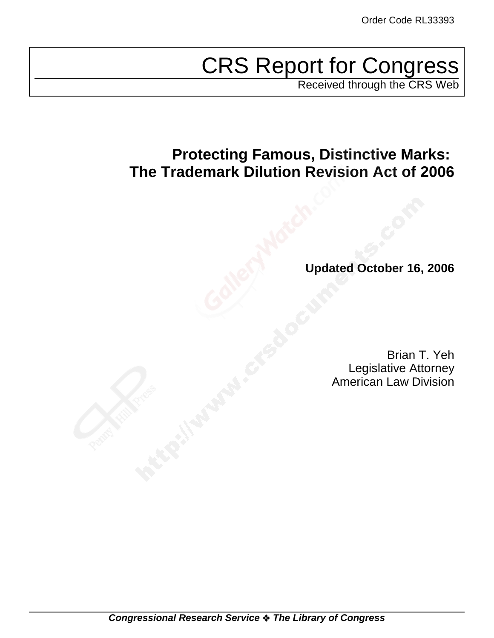# CRS Report for Congress

Received through the CRS Web

# **Protecting Famous, Distinctive Marks: The Trademark Dilution Revision Act of 2006**

**Updated October 16, 2006**

Brian T. Yeh Legislative Attorney American Law Division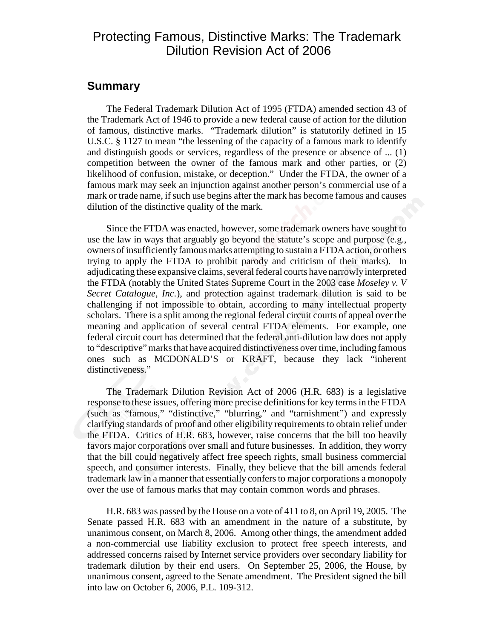## Protecting Famous, Distinctive Marks: The Trademark Dilution Revision Act of 2006

#### **Summary**

The Federal Trademark Dilution Act of 1995 (FTDA) amended section 43 of the Trademark Act of 1946 to provide a new federal cause of action for the dilution of famous, distinctive marks. "Trademark dilution" is statutorily defined in 15 U.S.C. § 1127 to mean "the lessening of the capacity of a famous mark to identify and distinguish goods or services, regardless of the presence or absence of ... (1) competition between the owner of the famous mark and other parties, or (2) likelihood of confusion, mistake, or deception." Under the FTDA, the owner of a famous mark may seek an injunction against another person's commercial use of a mark or trade name, if such use begins after the mark has become famous and causes dilution of the distinctive quality of the mark.

Since the FTDA was enacted, however, some trademark owners have sought to use the law in ways that arguably go beyond the statute's scope and purpose (e.g., owners of insufficiently famous marks attempting to sustain a FTDA action, or others trying to apply the FTDA to prohibit parody and criticism of their marks). In adjudicating these expansive claims, several federal courts have narrowly interpreted the FTDA (notably the United States Supreme Court in the 2003 case *Moseley v. V Secret Catalogue, Inc.*), and protection against trademark dilution is said to be challenging if not impossible to obtain, according to many intellectual property scholars. There is a split among the regional federal circuit courts of appeal over the meaning and application of several central FTDA elements. For example, one federal circuit court has determined that the federal anti-dilution law does not apply to "descriptive" marks that have acquired distinctiveness over time, including famous ones such as MCDONALD'S or KRAFT, because they lack "inherent distinctiveness."

The Trademark Dilution Revision Act of 2006 (H.R. 683) is a legislative response to these issues, offering more precise definitions for key terms in the FTDA (such as "famous," "distinctive," "blurring," and "tarnishment") and expressly clarifying standards of proof and other eligibility requirements to obtain relief under the FTDA. Critics of H.R. 683, however, raise concerns that the bill too heavily favors major corporations over small and future businesses. In addition, they worry that the bill could negatively affect free speech rights, small business commercial speech, and consumer interests. Finally, they believe that the bill amends federal trademark law in a manner that essentially confers to major corporations a monopoly over the use of famous marks that may contain common words and phrases.

H.R. 683 was passed by the House on a vote of 411 to 8, on April 19, 2005. The Senate passed H.R. 683 with an amendment in the nature of a substitute, by unanimous consent, on March 8, 2006. Among other things, the amendment added a non-commercial use liability exclusion to protect free speech interests, and addressed concerns raised by Internet service providers over secondary liability for trademark dilution by their end users. On September 25, 2006, the House, by unanimous consent, agreed to the Senate amendment. The President signed the bill into law on October 6, 2006, P.L. 109-312.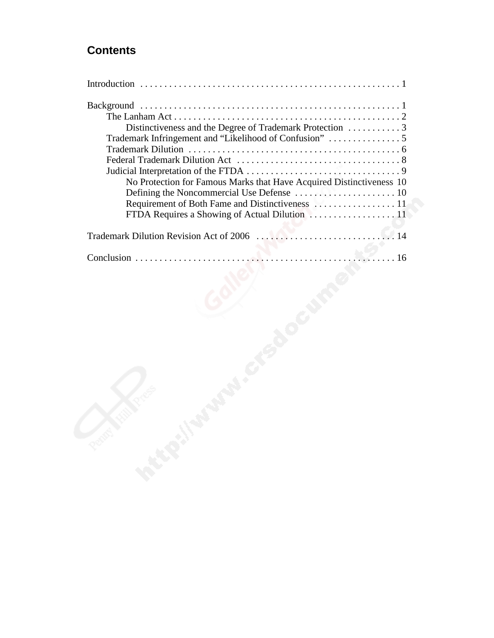## **Contents**

| No Protection for Famous Marks that Have Acquired Distinctiveness 10 |
|----------------------------------------------------------------------|
|                                                                      |
|                                                                      |
|                                                                      |
|                                                                      |
|                                                                      |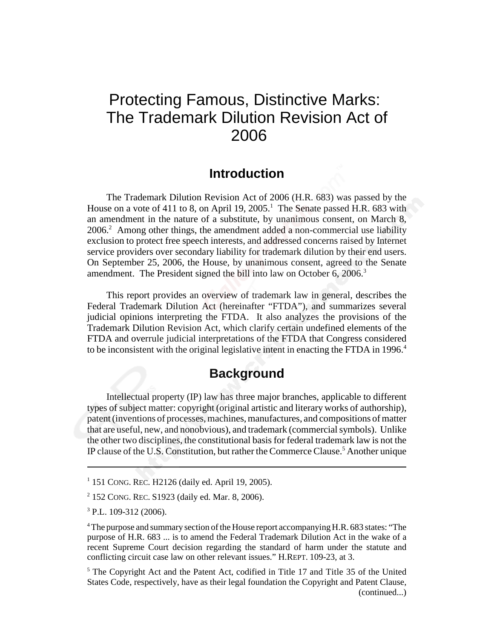# Protecting Famous, Distinctive Marks: The Trademark Dilution Revision Act of 2006

#### **Introduction**

The Trademark Dilution Revision Act of 2006 (H.R. 683) was passed by the House on a vote of 411 to 8, on April 19, 2005.<sup>1</sup> The Senate passed H.R. 683 with an amendment in the nature of a substitute, by unanimous consent, on March 8, 2006.<sup>2</sup> Among other things, the amendment added a non-commercial use liability exclusion to protect free speech interests, and addressed concerns raised by Internet service providers over secondary liability for trademark dilution by their end users. On September 25, 2006, the House, by unanimous consent, agreed to the Senate amendment. The President signed the bill into law on October 6, 2006.<sup>3</sup>

This report provides an overview of trademark law in general, describes the Federal Trademark Dilution Act (hereinafter "FTDA"), and summarizes several judicial opinions interpreting the FTDA. It also analyzes the provisions of the Trademark Dilution Revision Act, which clarify certain undefined elements of the FTDA and overrule judicial interpretations of the FTDA that Congress considered to be inconsistent with the original legislative intent in enacting the FTDA in 1996.<sup>4</sup>

### **Background**

Intellectual property (IP) law has three major branches, applicable to different types of subject matter: copyright (original artistic and literary works of authorship), patent (inventions of processes, machines, manufactures, and compositions of matter that are useful, new, and nonobvious), and trademark (commercial symbols). Unlike the other two disciplines, the constitutional basis for federal trademark law is not the IP clause of the U.S. Constitution, but rather the Commerce Clause.<sup>5</sup> Another unique

1 151 CONG. REC. H2126 (daily ed. April 19, 2005).

<sup>2</sup> 152 CONG. REC. S1923 (daily ed. Mar. 8, 2006).

<sup>3</sup> P.L. 109-312 (2006).

<sup>&</sup>lt;sup>4</sup> The purpose and summary section of the House report accompanying H.R. 683 states: "The purpose of H.R. 683 ... is to amend the Federal Trademark Dilution Act in the wake of a recent Supreme Court decision regarding the standard of harm under the statute and conflicting circuit case law on other relevant issues." H.REPT. 109-23, at 3.

<sup>&</sup>lt;sup>5</sup> The Copyright Act and the Patent Act, codified in Title 17 and Title 35 of the United States Code, respectively, have as their legal foundation the Copyright and Patent Clause, (continued...)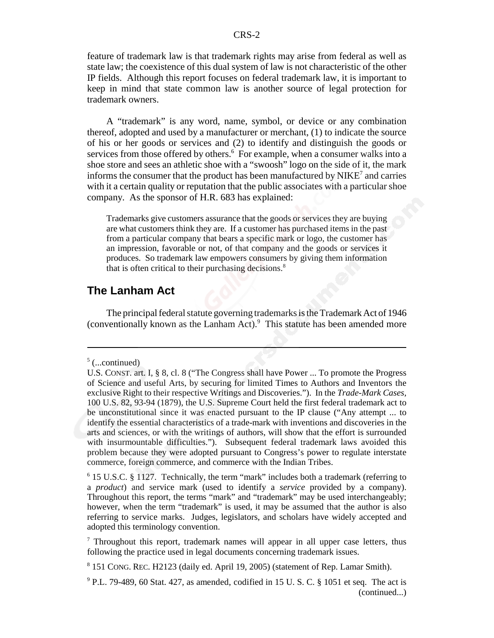feature of trademark law is that trademark rights may arise from federal as well as state law; the coexistence of this dual system of law is not characteristic of the other IP fields. Although this report focuses on federal trademark law, it is important to keep in mind that state common law is another source of legal protection for trademark owners.

A "trademark" is any word, name, symbol, or device or any combination thereof, adopted and used by a manufacturer or merchant, (1) to indicate the source of his or her goods or services and (2) to identify and distinguish the goods or services from those offered by others.<sup>6</sup> For example, when a consumer walks into a shoe store and sees an athletic shoe with a "swoosh" logo on the side of it, the mark informs the consumer that the product has been manufactured by  $NIKE^7$  and carries with it a certain quality or reputation that the public associates with a particular shoe company. As the sponsor of H.R. 683 has explained:

Trademarks give customers assurance that the goods or services they are buying are what customers think they are. If a customer has purchased items in the past from a particular company that bears a specific mark or logo, the customer has an impression, favorable or not, of that company and the goods or services it produces. So trademark law empowers consumers by giving them information that is often critical to their purchasing decisions.<sup>8</sup>

#### **The Lanham Act**

The principal federal statute governing trademarks is the Trademark Act of 1946 (conventionally known as the Lanham Act).<sup>9</sup> This statute has been amended more

 $5$  (...continued)

U.S. CONST. art. I, § 8, cl. 8 ("The Congress shall have Power ... To promote the Progress of Science and useful Arts, by securing for limited Times to Authors and Inventors the exclusive Right to their respective Writings and Discoveries."). In the *Trade-Mark Cases,* 100 U.S. 82, 93-94 (1879), the U.S. Supreme Court held the first federal trademark act to be unconstitutional since it was enacted pursuant to the IP clause ("Any attempt ... to identify the essential characteristics of a trade-mark with inventions and discoveries in the arts and sciences, or with the writings of authors, will show that the effort is surrounded with insurmountable difficulties."). Subsequent federal trademark laws avoided this problem because they were adopted pursuant to Congress's power to regulate interstate commerce, foreign commerce, and commerce with the Indian Tribes.

<sup>&</sup>lt;sup>6</sup> 15 U.S.C. § 1127. Technically, the term "mark" includes both a trademark (referring to a *product*) and service mark (used to identify a *service* provided by a company). Throughout this report, the terms "mark" and "trademark" may be used interchangeably; however, when the term "trademark" is used, it may be assumed that the author is also referring to service marks. Judges, legislators, and scholars have widely accepted and adopted this terminology convention.

<sup>&</sup>lt;sup>7</sup> Throughout this report, trademark names will appear in all upper case letters, thus following the practice used in legal documents concerning trademark issues.

<sup>8</sup> 151 CONG. REC. H2123 (daily ed. April 19, 2005) (statement of Rep. Lamar Smith).

<sup>&</sup>lt;sup>9</sup> P.L. 79-489, 60 Stat. 427, as amended, codified in 15 U. S. C. § 1051 et seq. The act is (continued...)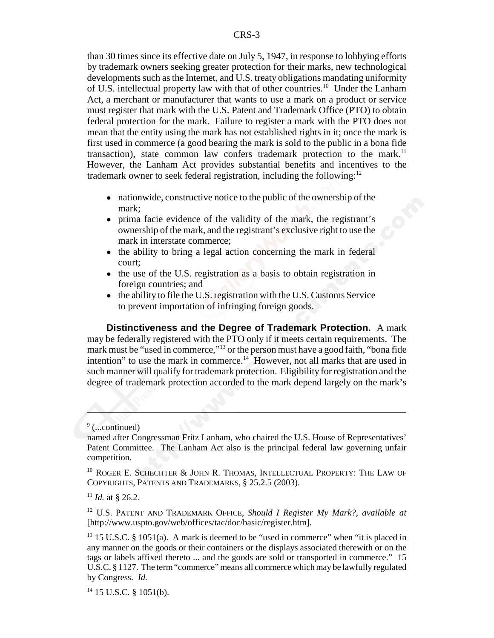than 30 times since its effective date on July 5, 1947, in response to lobbying efforts by trademark owners seeking greater protection for their marks, new technological developments such as the Internet, and U.S. treaty obligations mandating uniformity of U.S. intellectual property law with that of other countries.10 Under the Lanham Act, a merchant or manufacturer that wants to use a mark on a product or service must register that mark with the U.S. Patent and Trademark Office (PTO) to obtain federal protection for the mark. Failure to register a mark with the PTO does not mean that the entity using the mark has not established rights in it; once the mark is first used in commerce (a good bearing the mark is sold to the public in a bona fide transaction), state common law confers trademark protection to the mark.<sup>11</sup> However, the Lanham Act provides substantial benefits and incentives to the trademark owner to seek federal registration, including the following: $12$ 

- nationwide, constructive notice to the public of the ownership of the mark;
- ! prima facie evidence of the validity of the mark, the registrant's ownership of the mark, and the registrant's exclusive right to use the mark in interstate commerce;
- the ability to bring a legal action concerning the mark in federal court;
- the use of the U.S. registration as a basis to obtain registration in foreign countries; and
- $\bullet$  the ability to file the U.S. registration with the U.S. Customs Service to prevent importation of infringing foreign goods.

**Distinctiveness and the Degree of Trademark Protection.** A mark may be federally registered with the PTO only if it meets certain requirements. The mark must be "used in commerce,"13 or the person must have a good faith, "bona fide intention" to use the mark in commerce.<sup>14</sup> However, not all marks that are used in such manner will qualify for trademark protection. Eligibility for registration and the degree of trademark protection accorded to the mark depend largely on the mark's

<sup>&</sup>lt;sup>9</sup> (...continued)

named after Congressman Fritz Lanham, who chaired the U.S. House of Representatives' Patent Committee. The Lanham Act also is the principal federal law governing unfair competition.

<sup>&</sup>lt;sup>10</sup> ROGER E. SCHECHTER & JOHN R. THOMAS, INTELLECTUAL PROPERTY: THE LAW OF COPYRIGHTS, PATENTS AND TRADEMARKS, § 25.2.5 (2003).

 $11$  *Id.* at \$ 26.2.

<sup>12</sup> U.S. PATENT AND TRADEMARK OFFICE, *Should I Register My Mark?, available at* [http://www.uspto.gov/web/offices/tac/doc/basic/register.htm].

 $13$  15 U.S.C. § 1051(a). A mark is deemed to be "used in commerce" when "it is placed in any manner on the goods or their containers or the displays associated therewith or on the tags or labels affixed thereto ... and the goods are sold or transported in commerce." 15 U.S.C. § 1127. The term "commerce" means all commerce which may be lawfully regulated by Congress. *Id.*

 $14$  15 U.S.C. § 1051(b).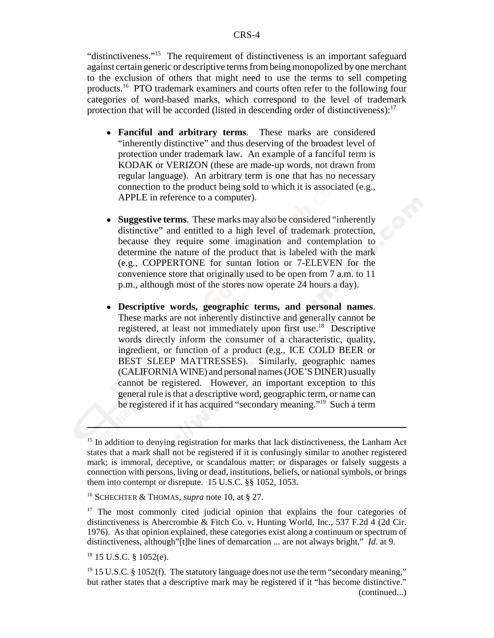"distinctiveness."15 The requirement of distinctiveness is an important safeguard against certain generic or descriptive terms from being monopolized by one merchant to the exclusion of others that might need to use the terms to sell competing products.<sup>16</sup> PTO trademark examiners and courts often refer to the following four categories of word-based marks, which correspond to the level of trademark protection that will be accorded (listed in descending order of distinctiveness): $17$ 

- ! **Fanciful and arbitrary terms**. These marks are considered "inherently distinctive" and thus deserving of the broadest level of protection under trademark law. An example of a fanciful term is KODAK or VERIZON (these are made-up words, not drawn from regular language). An arbitrary term is one that has no necessary connection to the product being sold to which it is associated (e.g., APPLE in reference to a computer).
- ! **Suggestive terms**. These marks may also be considered "inherently distinctive" and entitled to a high level of trademark protection, because they require some imagination and contemplation to determine the nature of the product that is labeled with the mark (e.g., COPPERTONE for suntan lotion or 7-ELEVEN for the convenience store that originally used to be open from 7 a.m. to 11 p.m., although most of the stores now operate 24 hours a day).
- ! **Descriptive words, geographic terms, and personal names**. These marks are not inherently distinctive and generally cannot be registered, at least not immediately upon first use.<sup>18</sup> Descriptive words directly inform the consumer of a characteristic, quality, ingredient, or function of a product (e.g., ICE COLD BEER or BEST SLEEP MATTRESSES). Similarly, geographic names (CALIFORNIA WINE) and personal names (JOE'S DINER) usually cannot be registered. However, an important exception to this general rule is that a descriptive word, geographic term, or name can be registered if it has acquired "secondary meaning."<sup>19</sup> Such a term

<sup>&</sup>lt;sup>15</sup> In addition to denying registration for marks that lack distinctiveness, the Lanham Act states that a mark shall not be registered if it is confusingly similar to another registered mark; is immoral, deceptive, or scandalous matter; or disparages or falsely suggests a connection with persons, living or dead, institutions, beliefs, or national symbols, or brings them into contempt or disrepute. 15 U.S.C. §§ 1052, 1053.

<sup>16</sup> SCHECHTER & THOMAS, *supra* note 10, at § 27.

<sup>&</sup>lt;sup>17</sup> The most commonly cited judicial opinion that explains the four categories of distinctiveness is Abercrombie & Fitch Co. v. Hunting World, Inc., 537 F.2d 4 (2d Cir. 1976). As that opinion explained, these categories exist along a continuum or spectrum of distinctiveness, although"[t]he lines of demarcation ... are not always bright." *Id.* at 9.

<sup>18 15</sup> U.S.C. § 1052(e).

 $19$  15 U.S.C. § 1052(f). The statutory language does not use the term "secondary meaning," but rather states that a descriptive mark may be registered if it "has become distinctive." (continued...)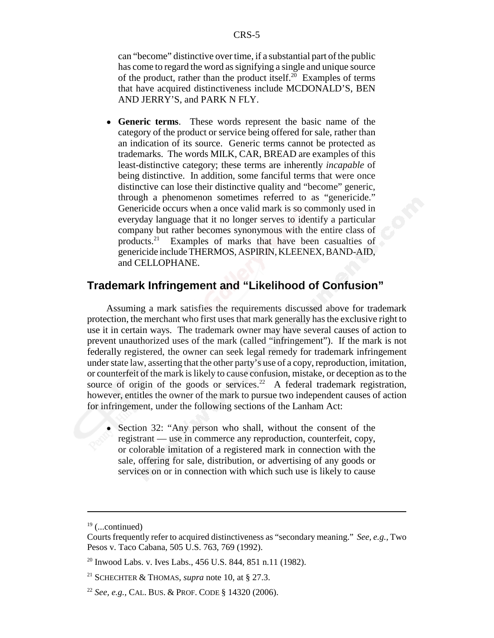can "become" distinctive over time, if a substantial part of the public has come to regard the word as signifying a single and unique source of the product, rather than the product itself.<sup>20</sup> Examples of terms that have acquired distinctiveness include MCDONALD'S, BEN AND JERRY'S, and PARK N FLY.

! **Generic terms**. These words represent the basic name of the category of the product or service being offered for sale, rather than an indication of its source. Generic terms cannot be protected as trademarks. The words MILK, CAR, BREAD are examples of this least-distinctive category; these terms are inherently *incapable* of being distinctive. In addition, some fanciful terms that were once distinctive can lose their distinctive quality and "become" generic, through a phenomenon sometimes referred to as "genericide." Genericide occurs when a once valid mark is so commonly used in everyday language that it no longer serves to identify a particular company but rather becomes synonymous with the entire class of products.21 Examples of marks that have been casualties of genericide include THERMOS, ASPIRIN, KLEENEX, BAND-AID, and CELLOPHANE.

#### **Trademark Infringement and "Likelihood of Confusion"**

Assuming a mark satisfies the requirements discussed above for trademark protection, the merchant who first uses that mark generally has the exclusive right to use it in certain ways. The trademark owner may have several causes of action to prevent unauthorized uses of the mark (called "infringement"). If the mark is not federally registered, the owner can seek legal remedy for trademark infringement under state law, asserting that the other party's use of a copy, reproduction, imitation, or counterfeit of the mark is likely to cause confusion, mistake, or deception as to the source of origin of the goods or services.<sup>22</sup> A federal trademark registration, however, entitles the owner of the mark to pursue two independent causes of action for infringement, under the following sections of the Lanham Act:

• Section 32: "Any person who shall, without the consent of the registrant — use in commerce any reproduction, counterfeit, copy, or colorable imitation of a registered mark in connection with the sale, offering for sale, distribution, or advertising of any goods or services on or in connection with which such use is likely to cause

 $19$  (...continued)

Courts frequently refer to acquired distinctiveness as "secondary meaning." *See, e.g.,* Two Pesos v. Taco Cabana, 505 U.S. 763, 769 (1992).

<sup>&</sup>lt;sup>20</sup> Inwood Labs. v. Ives Labs., 456 U.S. 844, 851 n.11 (1982).

<sup>21</sup> SCHECHTER & THOMAS, *supra* note 10, at § 27.3.

<sup>22</sup> *See, e.g.,* CAL. BUS. & PROF. CODE § 14320 (2006).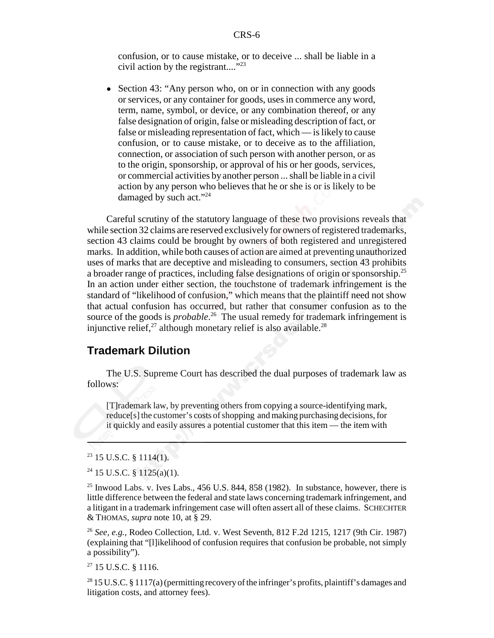confusion, or to cause mistake, or to deceive ... shall be liable in a civil action by the registrant...."<sup>23</sup>

• Section 43: "Any person who, on or in connection with any goods or services, or any container for goods, uses in commerce any word, term, name, symbol, or device, or any combination thereof, or any false designation of origin, false or misleading description of fact, or false or misleading representation of fact, which — is likely to cause confusion, or to cause mistake, or to deceive as to the affiliation, connection, or association of such person with another person, or as to the origin, sponsorship, or approval of his or her goods, services, or commercial activities by another person ... shall be liable in a civil action by any person who believes that he or she is or is likely to be damaged by such act."<sup>24</sup>

Careful scrutiny of the statutory language of these two provisions reveals that while section 32 claims are reserved exclusively for owners of registered trademarks, section 43 claims could be brought by owners of both registered and unregistered marks. In addition, while both causes of action are aimed at preventing unauthorized uses of marks that are deceptive and misleading to consumers, section 43 prohibits a broader range of practices, including false designations of origin or sponsorship.<sup>25</sup> In an action under either section, the touchstone of trademark infringement is the standard of "likelihood of confusion," which means that the plaintiff need not show that actual confusion has occurred, but rather that consumer confusion as to the source of the goods is *probable*. 26 The usual remedy for trademark infringement is injunctive relief,<sup>27</sup> although monetary relief is also available.<sup>28</sup>

#### **Trademark Dilution**

The U.S. Supreme Court has described the dual purposes of trademark law as follows:

[T]rademark law, by preventing others from copying a source-identifying mark, reduce[s] the customer's costs of shopping and making purchasing decisions, for it quickly and easily assures a potential customer that this item — the item with

 $23$  15 U.S.C. § 1114(1).

 $24$  15 U.S.C. § 1125(a)(1).

 $25$  Inwood Labs. v. Ives Labs., 456 U.S. 844, 858 (1982). In substance, however, there is little difference between the federal and state laws concerning trademark infringement, and a litigant in a trademark infringement case will often assert all of these claims. SCHECHTER & THOMAS, *supra* note 10, at § 29.

<sup>26</sup> *See, e.g.,* Rodeo Collection, Ltd. v. West Seventh, 812 F.2d 1215, 1217 (9th Cir. 1987) (explaining that "[l]ikelihood of confusion requires that confusion be probable, not simply a possibility").

27 15 U.S.C. § 1116.

<sup>28</sup> 15 U.S.C. § 1117(a) (permitting recovery of the infringer's profits, plaintiff's damages and litigation costs, and attorney fees).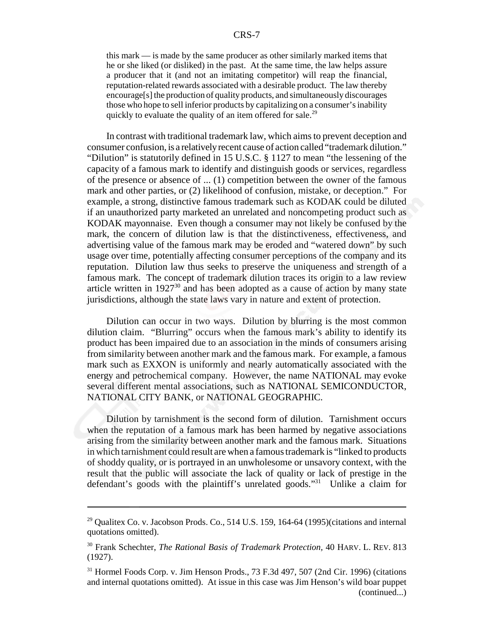this mark — is made by the same producer as other similarly marked items that he or she liked (or disliked) in the past. At the same time, the law helps assure a producer that it (and not an imitating competitor) will reap the financial, reputation-related rewards associated with a desirable product. The law thereby encourage[s] the production of quality products, and simultaneously discourages those who hope to sell inferior products by capitalizing on a consumer's inability quickly to evaluate the quality of an item offered for sale.<sup>29</sup>

In contrast with traditional trademark law, which aims to prevent deception and consumer confusion, is a relatively recent cause of action called "trademark dilution." "Dilution" is statutorily defined in 15 U.S.C. § 1127 to mean "the lessening of the capacity of a famous mark to identify and distinguish goods or services, regardless of the presence or absence of ... (1) competition between the owner of the famous mark and other parties, or (2) likelihood of confusion, mistake, or deception." For example, a strong, distinctive famous trademark such as KODAK could be diluted if an unauthorized party marketed an unrelated and noncompeting product such as KODAK mayonnaise. Even though a consumer may not likely be confused by the mark, the concern of dilution law is that the distinctiveness, effectiveness, and advertising value of the famous mark may be eroded and "watered down" by such usage over time, potentially affecting consumer perceptions of the company and its reputation. Dilution law thus seeks to preserve the uniqueness and strength of a famous mark. The concept of trademark dilution traces its origin to a law review article written in  $1927^{30}$  and has been adopted as a cause of action by many state jurisdictions, although the state laws vary in nature and extent of protection.

Dilution can occur in two ways. Dilution by blurring is the most common dilution claim. "Blurring" occurs when the famous mark's ability to identify its product has been impaired due to an association in the minds of consumers arising from similarity between another mark and the famous mark. For example, a famous mark such as EXXON is uniformly and nearly automatically associated with the energy and petrochemical company. However, the name NATIONAL may evoke several different mental associations, such as NATIONAL SEMICONDUCTOR, NATIONAL CITY BANK, or NATIONAL GEOGRAPHIC.

Dilution by tarnishment is the second form of dilution. Tarnishment occurs when the reputation of a famous mark has been harmed by negative associations arising from the similarity between another mark and the famous mark. Situations in which tarnishment could result are when a famous trademark is "linked to products of shoddy quality, or is portrayed in an unwholesome or unsavory context, with the result that the public will associate the lack of quality or lack of prestige in the defendant's goods with the plaintiff's unrelated goods."31 Unlike a claim for

 $^{29}$  Qualitex Co. v. Jacobson Prods. Co., 514 U.S. 159, 164-64 (1995)(citations and internal quotations omitted).

<sup>30</sup> Frank Schechter, *The Rational Basis of Trademark Protection,* 40 HARV. L. REV. 813 (1927).

<sup>&</sup>lt;sup>31</sup> Hormel Foods Corp. v. Jim Henson Prods., 73 F.3d 497, 507 (2nd Cir. 1996) (citations and internal quotations omitted). At issue in this case was Jim Henson's wild boar puppet (continued...)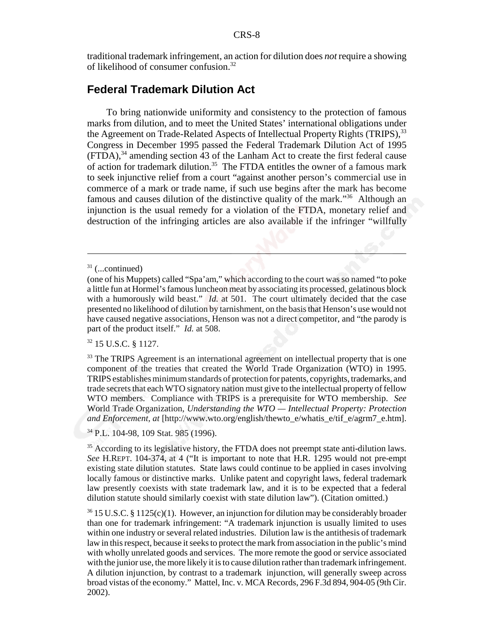traditional trademark infringement, an action for dilution does *not* require a showing of likelihood of consumer confusion.32

#### **Federal Trademark Dilution Act**

To bring nationwide uniformity and consistency to the protection of famous marks from dilution, and to meet the United States' international obligations under the Agreement on Trade-Related Aspects of Intellectual Property Rights (TRIPS),<sup>33</sup> Congress in December 1995 passed the Federal Trademark Dilution Act of 1995  $(FTDA)$ ,<sup>34</sup> amending section 43 of the Lanham Act to create the first federal cause of action for trademark dilution.<sup>35</sup> The FTDA entitles the owner of a famous mark to seek injunctive relief from a court "against another person's commercial use in commerce of a mark or trade name, if such use begins after the mark has become famous and causes dilution of the distinctive quality of the mark."36 Although an injunction is the usual remedy for a violation of the FTDA, monetary relief and destruction of the infringing articles are also available if the infringer "willfully

32 15 U.S.C. § 1127.

34 P.L. 104-98, 109 Stat. 985 (1996).

<sup>35</sup> According to its legislative history, the FTDA does not preempt state anti-dilution laws. *See* H.REPT. 104-374, at 4 ("It is important to note that H.R. 1295 would not pre-empt existing state dilution statutes. State laws could continue to be applied in cases involving locally famous or distinctive marks. Unlike patent and copyright laws, federal trademark law presently coexists with state trademark law, and it is to be expected that a federal dilution statute should similarly coexist with state dilution law"). (Citation omitted.)

 $31$  (...continued)

<sup>(</sup>one of his Muppets) called "Spa'am," which according to the court was so named "to poke a little fun at Hormel's famous luncheon meat by associating its processed, gelatinous block with a humorously wild beast." *Id.* at 501. The court ultimately decided that the case presented no likelihood of dilution by tarnishment, on the basis that Henson's use would not have caused negative associations, Henson was not a direct competitor, and "the parody is part of the product itself." *Id.* at 508.

<sup>&</sup>lt;sup>33</sup> The TRIPS Agreement is an international agreement on intellectual property that is one component of the treaties that created the World Trade Organization (WTO) in 1995. TRIPS establishes minimum standards of protection for patents, copyrights, trademarks, and trade secrets that each WTO signatory nation must give to the intellectual property of fellow WTO members. Compliance with TRIPS is a prerequisite for WTO membership. *See* World Trade Organization, *Understanding the WTO — Intellectual Property: Protection and Enforcement, at* [http://www.wto.org/english/thewto\_e/whatis\_e/tif\_e/agrm7\_e.htm].

 $36\,15$  U.S.C. § 1125(c)(1). However, an injunction for dilution may be considerably broader than one for trademark infringement: "A trademark injunction is usually limited to uses within one industry or several related industries. Dilution law is the antithesis of trademark law in this respect, because it seeks to protect the mark from association in the public's mind with wholly unrelated goods and services. The more remote the good or service associated with the junior use, the more likely it is to cause dilution rather than trademark infringement. A dilution injunction, by contrast to a trademark injunction, will generally sweep across broad vistas of the economy." Mattel, Inc. v. MCA Records, 296 F.3d 894, 904-05 (9th Cir. 2002).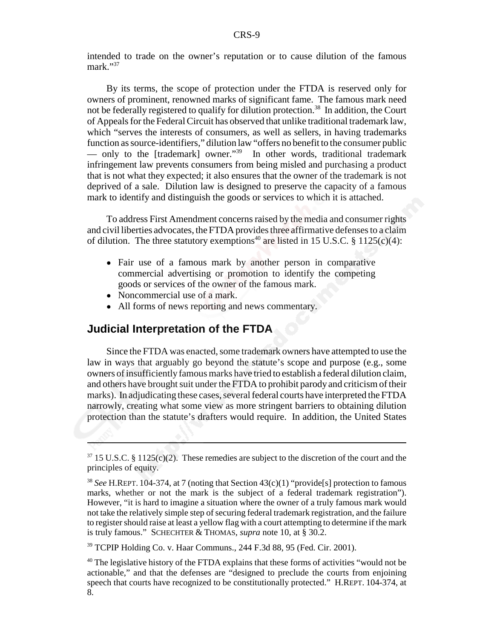intended to trade on the owner's reputation or to cause dilution of the famous mark."37

By its terms, the scope of protection under the FTDA is reserved only for owners of prominent, renowned marks of significant fame. The famous mark need not be federally registered to qualify for dilution protection.<sup>38</sup> In addition, the Court of Appeals for the Federal Circuit has observed that unlike traditional trademark law, which "serves the interests of consumers, as well as sellers, in having trademarks function as source-identifiers," dilution law "offers no benefit to the consumer public — only to the [trademark] owner."39 In other words, traditional trademark infringement law prevents consumers from being misled and purchasing a product that is not what they expected; it also ensures that the owner of the trademark is not deprived of a sale. Dilution law is designed to preserve the capacity of a famous mark to identify and distinguish the goods or services to which it is attached.

To address First Amendment concerns raised by the media and consumer rights and civil liberties advocates, the FTDA provides three affirmative defenses to a claim of dilution. The three statutory exemptions<sup>40</sup> are listed in 15 U.S.C. § 1125(c)(4):

- Fair use of a famous mark by another person in comparative commercial advertising or promotion to identify the competing goods or services of the owner of the famous mark.
- Noncommercial use of a mark.
- All forms of news reporting and news commentary.

#### **Judicial Interpretation of the FTDA**

Since the FTDA was enacted, some trademark owners have attempted to use the law in ways that arguably go beyond the statute's scope and purpose (e.g., some owners of insufficiently famous marks have tried to establish a federal dilution claim, and others have brought suit under the FTDA to prohibit parody and criticism of their marks). In adjudicating these cases, several federal courts have interpreted the FTDA narrowly, creating what some view as more stringent barriers to obtaining dilution protection than the statute's drafters would require. In addition, the United States

39 TCPIP Holding Co. v. Haar Communs., 244 F.3d 88, 95 (Fed. Cir. 2001).

 $37\,15$  U.S.C. § 1125(c)(2). These remedies are subject to the discretion of the court and the principles of equity.

<sup>38</sup> *See* H.REPT. 104-374, at 7 (noting that Section 43(c)(1) "provide[s] protection to famous marks, whether or not the mark is the subject of a federal trademark registration"). However, "it is hard to imagine a situation where the owner of a truly famous mark would not take the relatively simple step of securing federal trademark registration, and the failure to register should raise at least a yellow flag with a court attempting to determine if the mark is truly famous." SCHECHTER & THOMAS, *supra* note 10, at § 30.2.

<sup>&</sup>lt;sup>40</sup> The legislative history of the FTDA explains that these forms of activities "would not be actionable," and that the defenses are "designed to preclude the courts from enjoining speech that courts have recognized to be constitutionally protected." H.REPT. 104-374, at 8.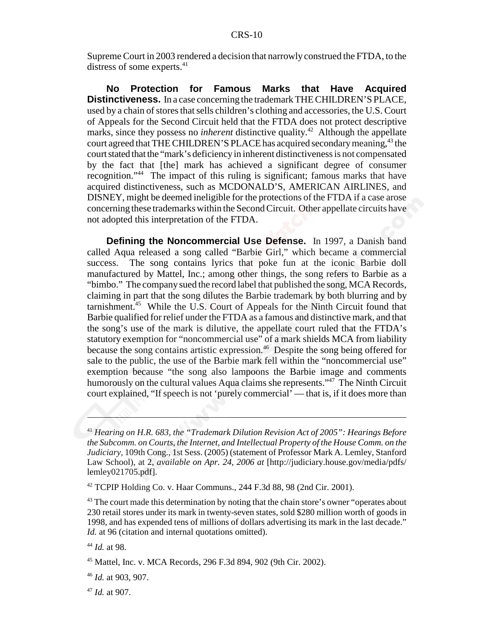Supreme Court in 2003 rendered a decision that narrowly construed the FTDA, to the distress of some experts.<sup>41</sup>

**No Protection for Famous Marks that Have Acquired Distinctiveness.** In a case concerning the trademark THE CHILDREN'S PLACE, used by a chain of stores that sells children's clothing and accessories, the U.S. Court of Appeals for the Second Circuit held that the FTDA does not protect descriptive marks, since they possess no *inherent* distinctive quality.<sup>42</sup> Although the appellate court agreed that THE CHILDREN'S PLACE has acquired secondary meaning,<sup>43</sup> the court stated that the "mark's deficiency in inherent distinctiveness is not compensated by the fact that [the] mark has achieved a significant degree of consumer recognition."44 The impact of this ruling is significant; famous marks that have acquired distinctiveness, such as MCDONALD'S, AMERICAN AIRLINES, and DISNEY, might be deemed ineligible for the protections of the FTDA if a case arose concerning these trademarks within the Second Circuit. Other appellate circuits have not adopted this interpretation of the FTDA.

**Defining the Noncommercial Use Defense.** In 1997, a Danish band called Aqua released a song called "Barbie Girl," which became a commercial success. The song contains lyrics that poke fun at the iconic Barbie doll manufactured by Mattel, Inc.; among other things, the song refers to Barbie as a "bimbo." The company sued the record label that published the song, MCA Records, claiming in part that the song dilutes the Barbie trademark by both blurring and by tarnishment.<sup>45</sup> While the U.S. Court of Appeals for the Ninth Circuit found that Barbie qualified for relief under the FTDA as a famous and distinctive mark, and that the song's use of the mark is dilutive, the appellate court ruled that the FTDA's statutory exemption for "noncommercial use" of a mark shields MCA from liability because the song contains artistic expression.46 Despite the song being offered for sale to the public, the use of the Barbie mark fell within the "noncommercial use" exemption because "the song also lampoons the Barbie image and comments humorously on the cultural values Aqua claims she represents."<sup>47</sup> The Ninth Circuit court explained, "If speech is not 'purely commercial' — that is, if it does more than

<sup>47</sup> *Id.* at 907.

<sup>41</sup> *Hearing on H.R. 683, the "Trademark Dilution Revision Act of 2005": Hearings Before the Subcomm. on Courts, the Internet, and Intellectual Property of the House Comm. on the Judiciary,* 109th Cong., 1st Sess. (2005) (statement of Professor Mark A. Lemley, Stanford Law School), at 2, *available on Apr. 24, 2006 at* [http://judiciary.house.gov/media/pdfs/ lemley021705.pdf].

<sup>&</sup>lt;sup>42</sup> TCPIP Holding Co. v. Haar Communs., 244 F.3d 88, 98 (2nd Cir. 2001).

<sup>&</sup>lt;sup>43</sup> The court made this determination by noting that the chain store's owner "operates about 230 retail stores under its mark in twenty-seven states, sold \$280 million worth of goods in 1998, and has expended tens of millions of dollars advertising its mark in the last decade." *Id.* at 96 (citation and internal quotations omitted).

<sup>44</sup> *Id.* at 98.

<sup>45</sup> Mattel, Inc. v. MCA Records, 296 F.3d 894, 902 (9th Cir. 2002).

<sup>46</sup> *Id.* at 903, 907.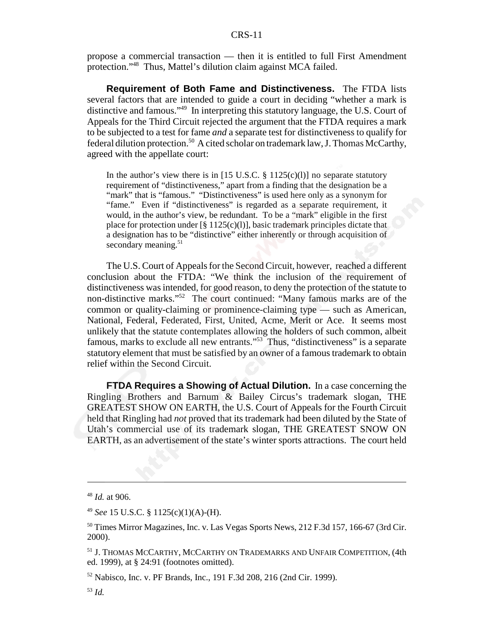#### CRS-11

propose a commercial transaction — then it is entitled to full First Amendment protection."48 Thus, Mattel's dilution claim against MCA failed.

**Requirement of Both Fame and Distinctiveness.** The FTDA lists several factors that are intended to guide a court in deciding "whether a mark is distinctive and famous."49 In interpreting this statutory language, the U.S. Court of Appeals for the Third Circuit rejected the argument that the FTDA requires a mark to be subjected to a test for fame *and* a separate test for distinctiveness to qualify for federal dilution protection.<sup>50</sup> A cited scholar on trademark law, J. Thomas McCarthy, agreed with the appellate court:

In the author's view there is in  $[15 \text{ U.S.C. } § 1125(c)(l)]$  no separate statutory requirement of "distinctiveness," apart from a finding that the designation be a "mark" that is "famous." "Distinctiveness" is used here only as a synonym for "fame." Even if "distinctiveness" is regarded as a separate requirement, it would, in the author's view, be redundant. To be a "mark" eligible in the first place for protection under  $[\S 1125(c)(l)]$ , basic trademark principles dictate that a designation has to be "distinctive" either inherently or through acquisition of secondary meaning. $51$ 

The U.S. Court of Appeals for the Second Circuit, however, reached a different conclusion about the FTDA: "We think the inclusion of the requirement of distinctiveness was intended, for good reason, to deny the protection of the statute to non-distinctive marks."52 The court continued: "Many famous marks are of the common or quality-claiming or prominence-claiming type — such as American, National, Federal, Federated, First, United, Acme, Merit or Ace. It seems most unlikely that the statute contemplates allowing the holders of such common, albeit famous, marks to exclude all new entrants."53 Thus, "distinctiveness" is a separate statutory element that must be satisfied by an owner of a famous trademark to obtain relief within the Second Circuit.

**FTDA Requires a Showing of Actual Dilution.** In a case concerning the Ringling Brothers and Barnum & Bailey Circus's trademark slogan, THE GREATEST SHOW ON EARTH, the U.S. Court of Appeals for the Fourth Circuit held that Ringling had *not* proved that its trademark had been diluted by the State of Utah's commercial use of its trademark slogan, THE GREATEST SNOW ON EARTH, as an advertisement of the state's winter sports attractions. The court held

<sup>48</sup> *Id.* at 906.

<sup>49</sup> *See* 15 U.S.C. § 1125(c)(1)(A)-(H).

<sup>&</sup>lt;sup>50</sup> Times Mirror Magazines, Inc. v. Las Vegas Sports News, 212 F.3d 157, 166-67 (3rd Cir. 2000).

<sup>51</sup> J. THOMAS MCCARTHY, MCCARTHY ON TRADEMARKS AND UNFAIR COMPETITION, (4th ed. 1999), at § 24:91 (footnotes omitted).

<sup>52</sup> Nabisco, Inc. v. PF Brands, Inc., 191 F.3d 208, 216 (2nd Cir. 1999).

<sup>53</sup> *Id.*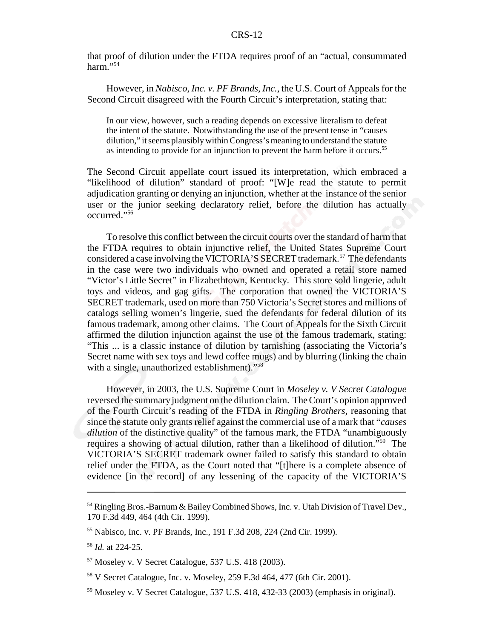that proof of dilution under the FTDA requires proof of an "actual, consummated harm." $54$ 

However, in *Nabisco, Inc. v. PF Brands, Inc.*, the U.S. Court of Appeals for the Second Circuit disagreed with the Fourth Circuit's interpretation, stating that:

In our view, however, such a reading depends on excessive literalism to defeat the intent of the statute. Notwithstanding the use of the present tense in "causes dilution," it seems plausibly within Congress's meaning to understand the statute as intending to provide for an injunction to prevent the harm before it occurs.<sup>55</sup>

The Second Circuit appellate court issued its interpretation, which embraced a "likelihood of dilution" standard of proof: "[W]e read the statute to permit adjudication granting or denying an injunction, whether at the instance of the senior user or the junior seeking declaratory relief, before the dilution has actually occurred."56

To resolve this conflict between the circuit courts over the standard of harm that the FTDA requires to obtain injunctive relief, the United States Supreme Court considered a case involving the VICTORIA'S SECRET trademark.<sup>57</sup> The defendants in the case were two individuals who owned and operated a retail store named "Victor's Little Secret" in Elizabethtown, Kentucky. This store sold lingerie, adult toys and videos, and gag gifts. The corporation that owned the VICTORIA'S SECRET trademark, used on more than 750 Victoria's Secret stores and millions of catalogs selling women's lingerie, sued the defendants for federal dilution of its famous trademark, among other claims. The Court of Appeals for the Sixth Circuit affirmed the dilution injunction against the use of the famous trademark, stating: "This ... is a classic instance of dilution by tarnishing (associating the Victoria's Secret name with sex toys and lewd coffee mugs) and by blurring (linking the chain with a single, unauthorized establishment)."<sup>58</sup>

However, in 2003, the U.S. Supreme Court in *Moseley v. V Secret Catalogue* reversed the summary judgment on the dilution claim. The Court's opinion approved of the Fourth Circuit's reading of the FTDA in *Ringling Brothers,* reasoning that since the statute only grants relief against the commercial use of a mark that "*causes dilution* of the distinctive quality" of the famous mark, the FTDA "unambiguously requires a showing of actual dilution, rather than a likelihood of dilution."59 The VICTORIA'S SECRET trademark owner failed to satisfy this standard to obtain relief under the FTDA, as the Court noted that "[t]here is a complete absence of evidence [in the record] of any lessening of the capacity of the VICTORIA'S

<sup>&</sup>lt;sup>54</sup> Ringling Bros.-Barnum & Bailey Combined Shows, Inc. v. Utah Division of Travel Dev., 170 F.3d 449, 464 (4th Cir. 1999).

<sup>55</sup> Nabisco, Inc. v. PF Brands, Inc., 191 F.3d 208, 224 (2nd Cir. 1999).

<sup>56</sup> *Id.* at 224-25.

<sup>57</sup> Moseley v. V Secret Catalogue, 537 U.S. 418 (2003).

<sup>58</sup> V Secret Catalogue, Inc. v. Moseley, 259 F.3d 464, 477 (6th Cir. 2001).

<sup>&</sup>lt;sup>59</sup> Moseley v. V Secret Catalogue, 537 U.S. 418, 432-33 (2003) (emphasis in original).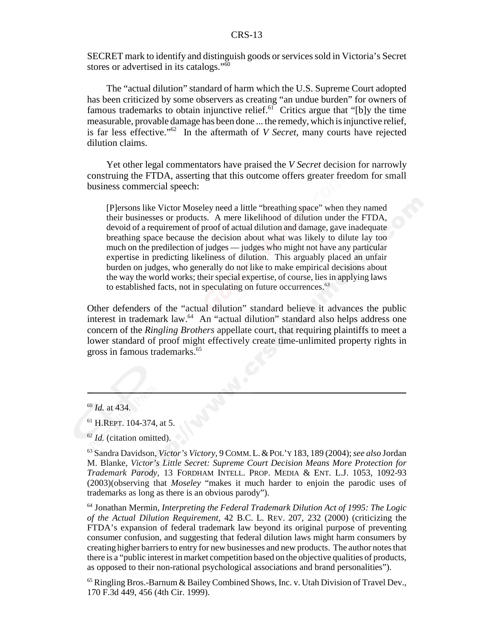SECRET mark to identify and distinguish goods or services sold in Victoria's Secret stores or advertised in its catalogs."<sup>60</sup>

The "actual dilution" standard of harm which the U.S. Supreme Court adopted has been criticized by some observers as creating "an undue burden" for owners of famous trademarks to obtain injunctive relief.<sup>61</sup> Critics argue that "[b]y the time measurable, provable damage has been done ... the remedy, which is injunctive relief, is far less effective."62 In the aftermath of *V Secret*, many courts have rejected dilution claims.

Yet other legal commentators have praised the *V Secret* decision for narrowly construing the FTDA, asserting that this outcome offers greater freedom for small business commercial speech:

[P]ersons like Victor Moseley need a little "breathing space" when they named their businesses or products. A mere likelihood of dilution under the FTDA, devoid of a requirement of proof of actual dilution and damage, gave inadequate breathing space because the decision about what was likely to dilute lay too much on the predilection of judges — judges who might not have any particular expertise in predicting likeliness of dilution. This arguably placed an unfair burden on judges, who generally do not like to make empirical decisions about the way the world works; their special expertise, of course, lies in applying laws to established facts, not in speculating on future occurrences.<sup>63</sup>

Other defenders of the "actual dilution" standard believe it advances the public interest in trademark law.<sup>64</sup> An "actual dilution" standard also helps address one concern of the *Ringling Brothers* appellate court, that requiring plaintiffs to meet a lower standard of proof might effectively create time-unlimited property rights in gross in famous trademarks.<sup>65</sup>

65 Ringling Bros.-Barnum & Bailey Combined Shows, Inc. v. Utah Division of Travel Dev., 170 F.3d 449, 456 (4th Cir. 1999).

<sup>60</sup> *Id.* at 434.

<sup>61</sup> H.REPT. 104-374, at 5.

<sup>&</sup>lt;sup>62</sup> *Id.* (citation omitted).

<sup>63</sup> Sandra Davidson, *Victor's Victory*, 9 COMM.L.&POL'Y 183, 189 (2004); *see also* Jordan M. Blanke, *Victor's Little Secret: Supreme Court Decision Means More Protection for Trademark Parody*, 13 FORDHAM INTELL. PROP. MEDIA & ENT. L.J. 1053, 1092-93 (2003)(observing that *Moseley* "makes it much harder to enjoin the parodic uses of trademarks as long as there is an obvious parody").

<sup>64</sup> Jonathan Mermin, *Interpreting the Federal Trademark Dilution Act of 1995: The Logic of the Actual Dilution Requirement,* 42 B.C. L. REV. 207, 232 (2000) (criticizing the FTDA's expansion of federal trademark law beyond its original purpose of preventing consumer confusion, and suggesting that federal dilution laws might harm consumers by creating higher barriers to entry for new businesses and new products. The author notes that there is a "public interest in market competition based on the objective qualities of products, as opposed to their non-rational psychological associations and brand personalities").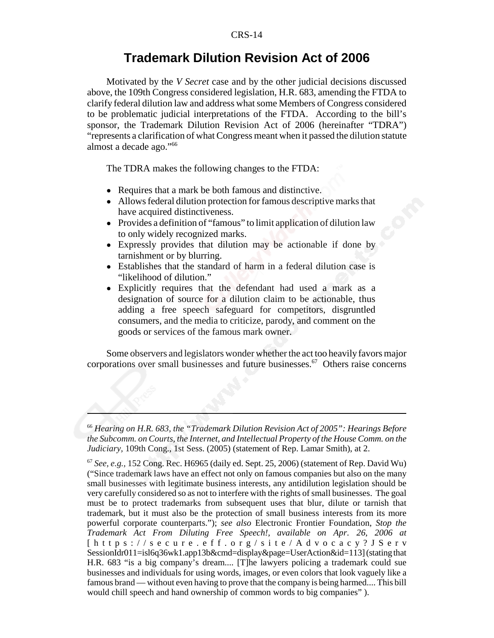#### **Trademark Dilution Revision Act of 2006**

Motivated by the *V Secret* case and by the other judicial decisions discussed above, the 109th Congress considered legislation, H.R. 683, amending the FTDA to clarify federal dilution law and address what some Members of Congress considered to be problematic judicial interpretations of the FTDA. According to the bill's sponsor, the Trademark Dilution Revision Act of 2006 (hereinafter "TDRA") "represents a clarification of what Congress meant when it passed the dilution statute almost a decade ago."66

The TDRA makes the following changes to the FTDA:

- ! Requires that a mark be both famous and distinctive.
- ! Allows federal dilution protection for famous descriptive marks that have acquired distinctiveness.
- Provides a definition of "famous" to limit application of dilution law to only widely recognized marks.
- Expressly provides that dilution may be actionable if done by tarnishment or by blurring.
- ! Establishes that the standard of harm in a federal dilution case is "likelihood of dilution."
- ! Explicitly requires that the defendant had used a mark as a designation of source for a dilution claim to be actionable, thus adding a free speech safeguard for competitors, disgruntled consumers, and the media to criticize, parody, and comment on the goods or services of the famous mark owner.

Some observers and legislators wonder whether the act too heavily favors major corporations over small businesses and future businesses.<sup>67</sup> Others raise concerns

<sup>66</sup> *Hearing on H.R. 683, the "Trademark Dilution Revision Act of 2005": Hearings Before the Subcomm. on Courts, the Internet, and Intellectual Property of the House Comm. on the Judiciary,* 109th Cong., 1st Sess. (2005) (statement of Rep. Lamar Smith), at 2.

<sup>67</sup> *See, e.g.,* 152 Cong. Rec. H6965 (daily ed. Sept. 25, 2006) (statement of Rep. David Wu) ("Since trademark laws have an effect not only on famous companies but also on the many small businesses with legitimate business interests, any antidilution legislation should be very carefully considered so as not to interfere with the rights of small businesses. The goal must be to protect trademarks from subsequent uses that blur, dilute or tarnish that trademark, but it must also be the protection of small business interests from its more powerful corporate counterparts."); *see also* Electronic Frontier Foundation, *Stop the Trademark Act From Diluting Free Speech!, available on Apr. 26, 2006 at* [https://secure.eff.org/site/Advocacy?JServ SessionIdr011=isl6q36wk1.app13b&cmd=display&page=UserAction&id=113] (stating that H.R. 683 "is a big company's dream.... [T]he lawyers policing a trademark could sue businesses and individuals for using words, images, or even colors that look vaguely like a famous brand — without even having to prove that the company is being harmed.... This bill would chill speech and hand ownership of common words to big companies" ).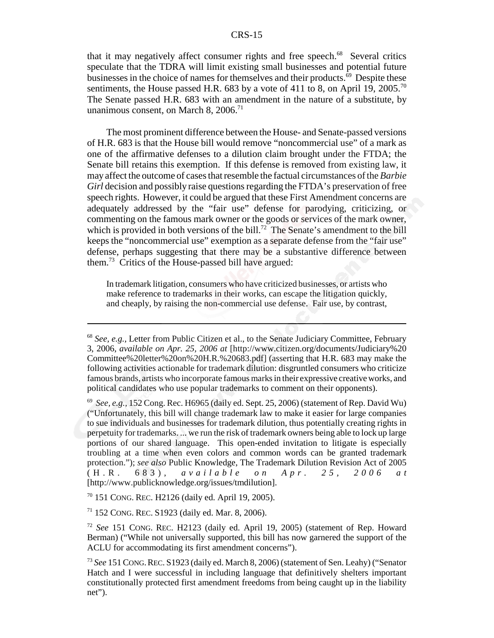#### CRS-15

that it may negatively affect consumer rights and free speech.<sup>68</sup> Several critics speculate that the TDRA will limit existing small businesses and potential future businesses in the choice of names for themselves and their products.<sup>69</sup> Despite these sentiments, the House passed H.R. 683 by a vote of 411 to 8, on April 19, 2005.<sup>70</sup> The Senate passed H.R. 683 with an amendment in the nature of a substitute, by unanimous consent, on March 8,  $2006$ <sup>71</sup>

The most prominent difference between the House- and Senate-passed versions of H.R. 683 is that the House bill would remove "noncommercial use" of a mark as one of the affirmative defenses to a dilution claim brought under the FTDA; the Senate bill retains this exemption. If this defense is removed from existing law, it may affect the outcome of cases that resemble the factual circumstances of the *Barbie Girl* decision and possibly raise questions regarding the FTDA's preservation of free speech rights. However, it could be argued that these First Amendment concerns are adequately addressed by the "fair use" defense for parodying, criticizing, or commenting on the famous mark owner or the goods or services of the mark owner, which is provided in both versions of the bill.<sup>72</sup> The Senate's amendment to the bill keeps the "noncommercial use" exemption as a separate defense from the "fair use" defense, perhaps suggesting that there may be a substantive difference between them.73 Critics of the House-passed bill have argued:

In trademark litigation, consumers who have criticized businesses, or artists who make reference to trademarks in their works, can escape the litigation quickly, and cheaply, by raising the non-commercial use defense. Fair use, by contrast,

<sup>68</sup> *See, e.g.,* Letter from Public Citizen et al., to the Senate Judiciary Committee, February 3, 2006, *available on Apr. 25, 2006 at* [http://www.citizen.org/documents/Judiciary%20 Committee%20letter%20on%20H.R.%20683.pdf] (asserting that H.R. 683 may make the following activities actionable for trademark dilution: disgruntled consumers who criticize famous brands, artists who incorporate famous marks in their expressive creative works, and political candidates who use popular trademarks to comment on their opponents).

<sup>69</sup> *See, e.g.,* 152 Cong. Rec. H6965 (daily ed. Sept. 25, 2006) (statement of Rep. David Wu) ("Unfortunately, this bill will change trademark law to make it easier for large companies to sue individuals and businesses for trademark dilution, thus potentially creating rights in perpetuity for trademarks. ... we run the risk of trademark owners being able to lock up large portions of our shared language. This open-ended invitation to litigate is especially troubling at a time when even colors and common words can be granted trademark protection."); *see also* Public Knowledge, The Trademark Dilution Revision Act of 2005 (H.R. 683), *available on Apr. 25, 2006 at* [http://www.publicknowledge.org/issues/tmdilution].

<sup>70 151</sup> CONG. REC. H2126 (daily ed. April 19, 2005).

 $71$  152 CONG. REC. S1923 (daily ed. Mar. 8, 2006).

<sup>72</sup> *See* 151 CONG. REC. H2123 (daily ed. April 19, 2005) (statement of Rep. Howard Berman) ("While not universally supported, this bill has now garnered the support of the ACLU for accommodating its first amendment concerns").

<sup>73</sup> *See* 151 CONG.REC. S1923 (daily ed. March 8, 2006) (statement of Sen. Leahy) ("Senator Hatch and I were successful in including language that definitively shelters important constitutionally protected first amendment freedoms from being caught up in the liability net").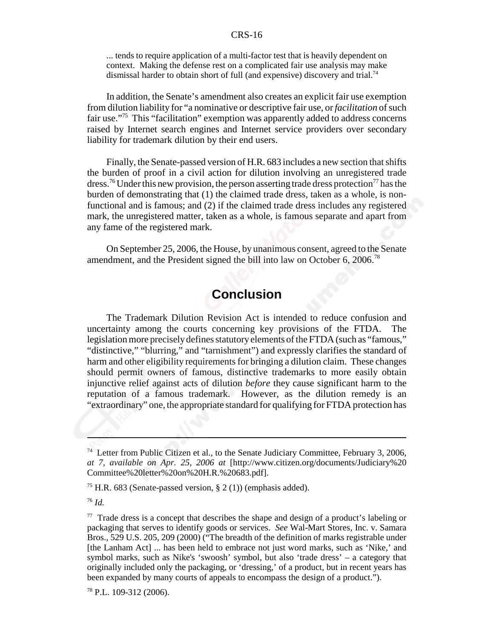#### CRS-16

... tends to require application of a multi-factor test that is heavily dependent on context. Making the defense rest on a complicated fair use analysis may make dismissal harder to obtain short of full (and expensive) discovery and trial.<sup>74</sup>

In addition, the Senate's amendment also creates an explicit fair use exemption from dilution liability for "a nominative or descriptive fair use, or *facilitation* of such fair use."75 This "facilitation" exemption was apparently added to address concerns raised by Internet search engines and Internet service providers over secondary liability for trademark dilution by their end users.

Finally, the Senate-passed version of H.R. 683 includes a new section that shifts the burden of proof in a civil action for dilution involving an unregistered trade dress.<sup>76</sup> Under this new provision, the person asserting trade dress protection<sup>77</sup> has the burden of demonstrating that (1) the claimed trade dress, taken as a whole, is nonfunctional and is famous; and (2) if the claimed trade dress includes any registered mark, the unregistered matter, taken as a whole, is famous separate and apart from any fame of the registered mark.

On September 25, 2006, the House, by unanimous consent, agreed to the Senate amendment, and the President signed the bill into law on October 6, 2006.<sup>78</sup>

# **Conclusion**

The Trademark Dilution Revision Act is intended to reduce confusion and uncertainty among the courts concerning key provisions of the FTDA. The legislation more precisely defines statutory elements of the FTDA (such as "famous," "distinctive," "blurring," and "tarnishment") and expressly clarifies the standard of harm and other eligibility requirements for bringing a dilution claim. These changes should permit owners of famous, distinctive trademarks to more easily obtain injunctive relief against acts of dilution *before* they cause significant harm to the reputation of a famous trademark. However, as the dilution remedy is an "extraordinary" one, the appropriate standard for qualifying for FTDA protection has

<sup>&</sup>lt;sup>74</sup> Letter from Public Citizen et al., to the Senate Judiciary Committee, February 3, 2006, *at 7, available on Apr. 25, 2006 at* [http://www.citizen.org/documents/Judiciary%20 Committee%20letter%20on%20H.R.%20683.pdf].

<sup>&</sup>lt;sup>75</sup> H.R. 683 (Senate-passed version,  $\S 2(1)$ ) (emphasis added).

<sup>76</sup> *Id.*

<sup>&</sup>lt;sup>77</sup> Trade dress is a concept that describes the shape and design of a product's labeling or packaging that serves to identify goods or services. *See* Wal-Mart Stores, Inc. v. Samara Bros., 529 U.S. 205, 209 (2000) ("The breadth of the definition of marks registrable under [the Lanham Act] ... has been held to embrace not just word marks, such as 'Nike,' and symbol marks, such as Nike's 'swoosh' symbol, but also 'trade dress' – a category that originally included only the packaging, or 'dressing,' of a product, but in recent years has been expanded by many courts of appeals to encompass the design of a product.").

<sup>78</sup> P.L. 109-312 (2006).